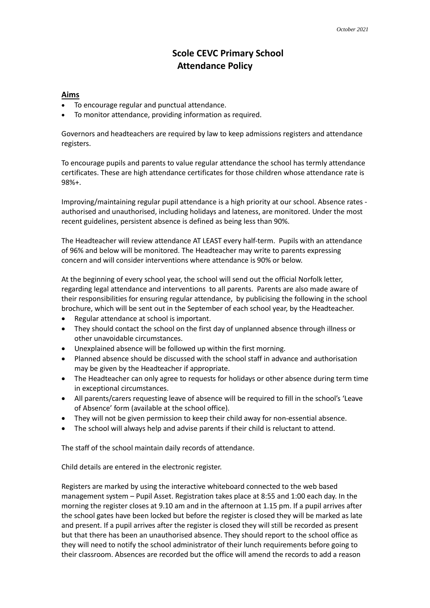## **Scole CEVC Primary School Attendance Policy**

## **Aims**

- To encourage regular and punctual attendance.
- To monitor attendance, providing information as required.

Governors and headteachers are required by law to keep admissions registers and attendance registers.

To encourage pupils and parents to value regular attendance the school has termly attendance certificates. These are high attendance certificates for those children whose attendance rate is 98%+.

Improving/maintaining regular pupil attendance is a high priority at our school. Absence rates authorised and unauthorised, including holidays and lateness, are monitored. Under the most recent guidelines, persistent absence is defined as being less than 90%.

The Headteacher will review attendance AT LEAST every half-term. Pupils with an attendance of 96% and below will be monitored. The Headteacher may write to parents expressing concern and will consider interventions where attendance is 90% or below.

At the beginning of every school year, the school will send out the official Norfolk letter, regarding legal attendance and interventions to all parents. Parents are also made aware of their responsibilities for ensuring regular attendance, by publicising the following in the school brochure, which will be sent out in the September of each school year, by the Headteacher.

- Regular attendance at school is important.
- They should contact the school on the first day of unplanned absence through illness or other unavoidable circumstances.
- Unexplained absence will be followed up within the first morning.
- Planned absence should be discussed with the school staff in advance and authorisation may be given by the Headteacher if appropriate.
- The Headteacher can only agree to requests for holidays or other absence during term time in exceptional circumstances.
- All parents/carers requesting leave of absence will be required to fill in the school's 'Leave of Absence' form (available at the school office).
- They will not be given permission to keep their child away for non-essential absence.
- The school will always help and advise parents if their child is reluctant to attend.

The staff of the school maintain daily records of attendance.

Child details are entered in the electronic register.

Registers are marked by using the interactive whiteboard connected to the web based management system – Pupil Asset. Registration takes place at 8:55 and 1:00 each day. In the morning the register closes at 9.10 am and in the afternoon at 1.15 pm. If a pupil arrives after the school gates have been locked but before the register is closed they will be marked as late and present. If a pupil arrives after the register is closed they will still be recorded as present but that there has been an unauthorised absence. They should report to the school office as they will need to notify the school administrator of their lunch requirements before going to their classroom. Absences are recorded but the office will amend the records to add a reason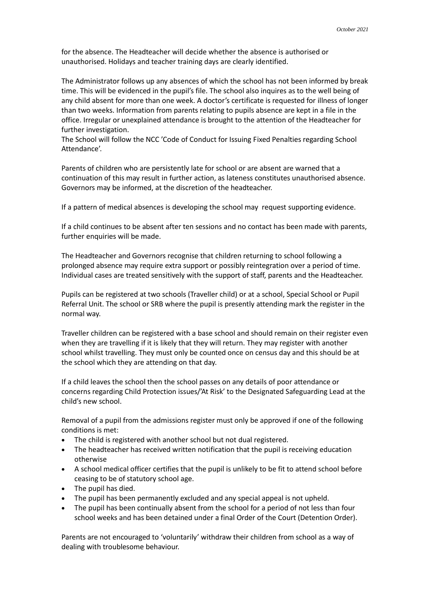for the absence. The Headteacher will decide whether the absence is authorised or unauthorised. Holidays and teacher training days are clearly identified.

The Administrator follows up any absences of which the school has not been informed by break time. This will be evidenced in the pupil's file. The school also inquires as to the well being of any child absent for more than one week. A doctor's certificate is requested for illness of longer than two weeks. Information from parents relating to pupils absence are kept in a file in the office. Irregular or unexplained attendance is brought to the attention of the Headteacher for further investigation.

The School will follow the NCC 'Code of Conduct for Issuing Fixed Penalties regarding School Attendance'.

Parents of children who are persistently late for school or are absent are warned that a continuation of this may result in further action, as lateness constitutes unauthorised absence. Governors may be informed, at the discretion of the headteacher.

If a pattern of medical absences is developing the school may request supporting evidence.

If a child continues to be absent after ten sessions and no contact has been made with parents, further enquiries will be made.

The Headteacher and Governors recognise that children returning to school following a prolonged absence may require extra support or possibly reintegration over a period of time. Individual cases are treated sensitively with the support of staff, parents and the Headteacher.

Pupils can be registered at two schools (Traveller child) or at a school, Special School or Pupil Referral Unit. The school or SRB where the pupil is presently attending mark the register in the normal way.

Traveller children can be registered with a base school and should remain on their register even when they are travelling if it is likely that they will return. They may register with another school whilst travelling. They must only be counted once on census day and this should be at the school which they are attending on that day.

If a child leaves the school then the school passes on any details of poor attendance or concerns regarding Child Protection issues/'At Risk' to the Designated Safeguarding Lead at the child's new school.

Removal of a pupil from the admissions register must only be approved if one of the following conditions is met:

- The child is registered with another school but not dual registered.
- The headteacher has received written notification that the pupil is receiving education otherwise
- A school medical officer certifies that the pupil is unlikely to be fit to attend school before ceasing to be of statutory school age.
- The pupil has died.
- The pupil has been permanently excluded and any special appeal is not upheld.
- The pupil has been continually absent from the school for a period of not less than four school weeks and has been detained under a final Order of the Court (Detention Order).

Parents are not encouraged to 'voluntarily' withdraw their children from school as a way of dealing with troublesome behaviour.